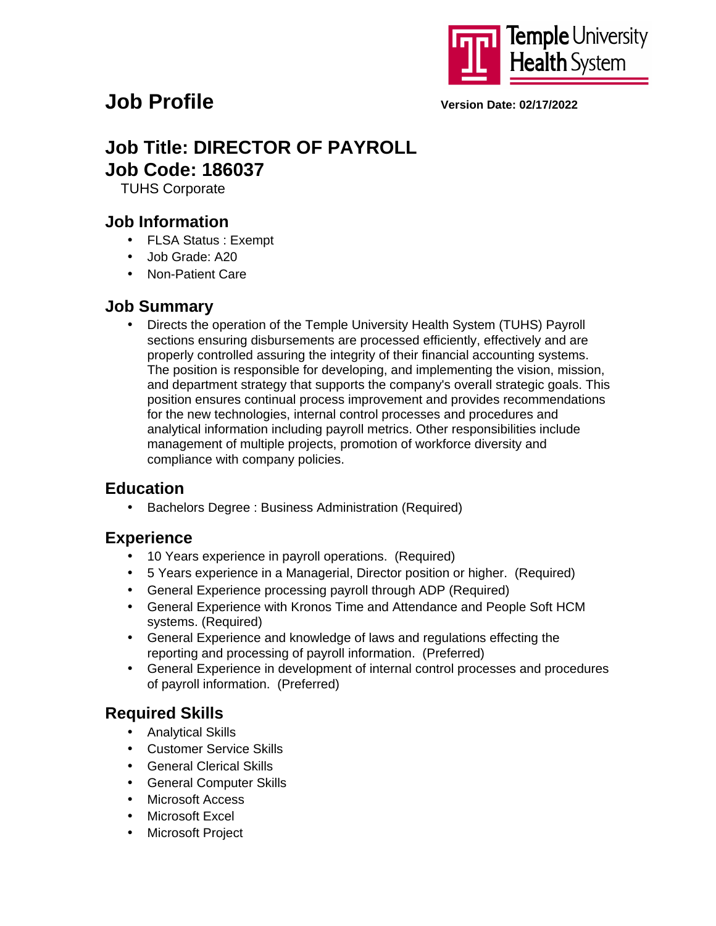

# **Job Profile Version Date: 02/17/2022**

# **Job Title: DIRECTOR OF PAYROLL Job Code: 186037**

TUHS Corporate

## **Job Information**

- FLSA Status : Exempt
- Job Grade: A20
- Non-Patient Care

### **Job Summary**

• Directs the operation of the Temple University Health System (TUHS) Payroll sections ensuring disbursements are processed efficiently, effectively and are properly controlled assuring the integrity of their financial accounting systems. The position is responsible for developing, and implementing the vision, mission, and department strategy that supports the company's overall strategic goals. This position ensures continual process improvement and provides recommendations for the new technologies, internal control processes and procedures and analytical information including payroll metrics. Other responsibilities include management of multiple projects, promotion of workforce diversity and compliance with company policies.

# **Education**

• Bachelors Degree : Business Administration (Required)

### **Experience**

- 10 Years experience in payroll operations. (Required)
- 5 Years experience in a Managerial, Director position or higher. (Required)
- General Experience processing payroll through ADP (Required)
- General Experience with Kronos Time and Attendance and People Soft HCM systems. (Required)
- General Experience and knowledge of laws and regulations effecting the reporting and processing of payroll information. (Preferred)
- General Experience in development of internal control processes and procedures of payroll information. (Preferred)

# **Required Skills**

- Analytical Skills
- Customer Service Skills
- General Clerical Skills
- General Computer Skills
- Microsoft Access
- Microsoft Excel
- **Microsoft Project**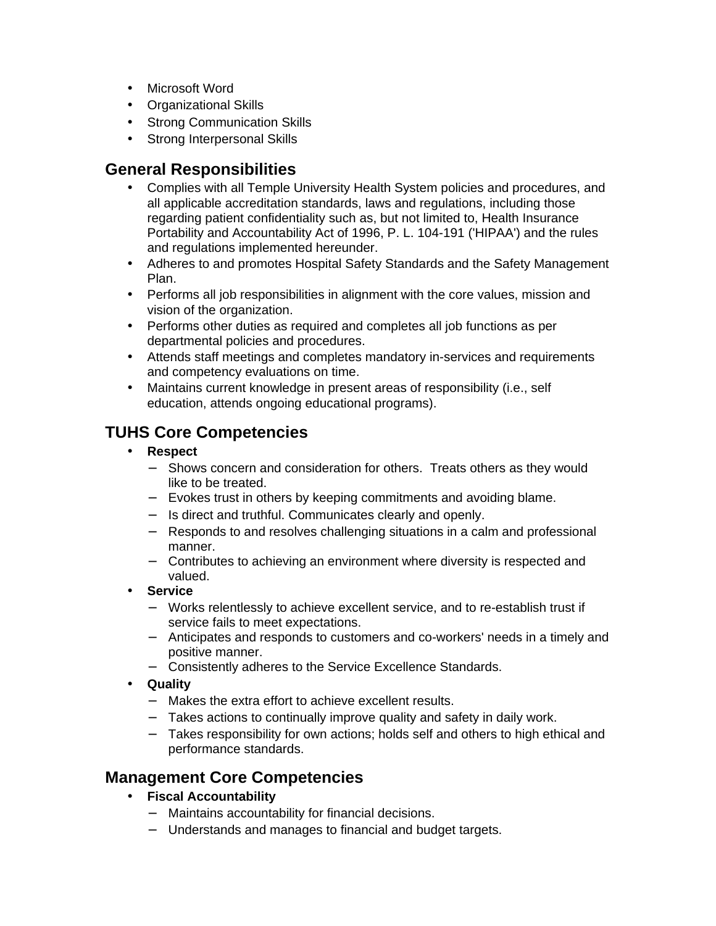- Microsoft Word
- Organizational Skills
- Strong Communication Skills
- Strong Interpersonal Skills

### **General Responsibilities**

- Complies with all Temple University Health System policies and procedures, and all applicable accreditation standards, laws and regulations, including those regarding patient confidentiality such as, but not limited to, Health Insurance Portability and Accountability Act of 1996, P. L. 104-191 ('HIPAA') and the rules and regulations implemented hereunder.
- Adheres to and promotes Hospital Safety Standards and the Safety Management Plan.
- Performs all job responsibilities in alignment with the core values, mission and vision of the organization.
- Performs other duties as required and completes all job functions as per departmental policies and procedures.
- Attends staff meetings and completes mandatory in-services and requirements and competency evaluations on time.
- Maintains current knowledge in present areas of responsibility (i.e., self education, attends ongoing educational programs).

# **TUHS Core Competencies**

- **Respect**
	- − Shows concern and consideration for others. Treats others as they would like to be treated.
	- − Evokes trust in others by keeping commitments and avoiding blame.
	- − Is direct and truthful. Communicates clearly and openly.
	- − Responds to and resolves challenging situations in a calm and professional manner.
	- − Contributes to achieving an environment where diversity is respected and valued.
- **Service**
	- − Works relentlessly to achieve excellent service, and to re-establish trust if service fails to meet expectations.
	- − Anticipates and responds to customers and co-workers' needs in a timely and positive manner.
	- − Consistently adheres to the Service Excellence Standards.
- **Quality**
	- − Makes the extra effort to achieve excellent results.
	- − Takes actions to continually improve quality and safety in daily work.
	- − Takes responsibility for own actions; holds self and others to high ethical and performance standards.

# **Management Core Competencies**

- **Fiscal Accountability**
	- − Maintains accountability for financial decisions.
	- − Understands and manages to financial and budget targets.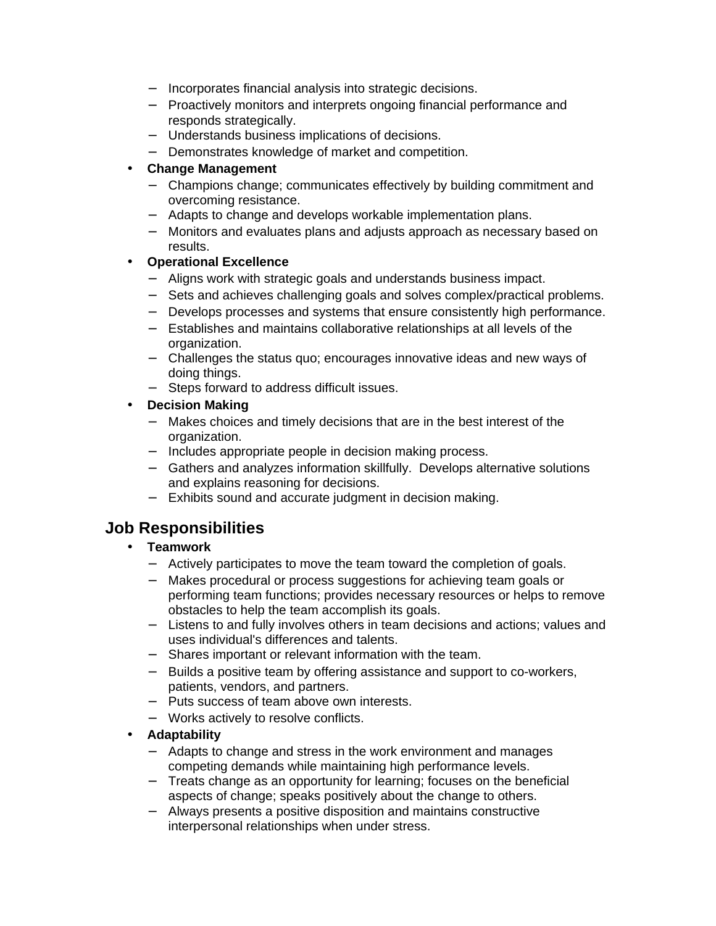- − Incorporates financial analysis into strategic decisions.
- − Proactively monitors and interprets ongoing financial performance and responds strategically.
- − Understands business implications of decisions.
- − Demonstrates knowledge of market and competition.

#### • **Change Management**

- − Champions change; communicates effectively by building commitment and overcoming resistance.
- − Adapts to change and develops workable implementation plans.
- − Monitors and evaluates plans and adjusts approach as necessary based on results.

### • **Operational Excellence**

- − Aligns work with strategic goals and understands business impact.
- − Sets and achieves challenging goals and solves complex/practical problems.
- − Develops processes and systems that ensure consistently high performance.
- − Establishes and maintains collaborative relationships at all levels of the organization.
- − Challenges the status quo; encourages innovative ideas and new ways of doing things.
- − Steps forward to address difficult issues.
- **Decision Making**
	- − Makes choices and timely decisions that are in the best interest of the organization.
	- − Includes appropriate people in decision making process.
	- − Gathers and analyzes information skillfully. Develops alternative solutions and explains reasoning for decisions.
	- − Exhibits sound and accurate judgment in decision making.

# **Job Responsibilities**

### • **Teamwork**

- − Actively participates to move the team toward the completion of goals.
- − Makes procedural or process suggestions for achieving team goals or performing team functions; provides necessary resources or helps to remove obstacles to help the team accomplish its goals.
- − Listens to and fully involves others in team decisions and actions; values and uses individual's differences and talents.
- − Shares important or relevant information with the team.
- − Builds a positive team by offering assistance and support to co-workers, patients, vendors, and partners.
- − Puts success of team above own interests.
- − Works actively to resolve conflicts.
- **Adaptability**
	- − Adapts to change and stress in the work environment and manages competing demands while maintaining high performance levels.
	- − Treats change as an opportunity for learning; focuses on the beneficial aspects of change; speaks positively about the change to others.
	- − Always presents a positive disposition and maintains constructive interpersonal relationships when under stress.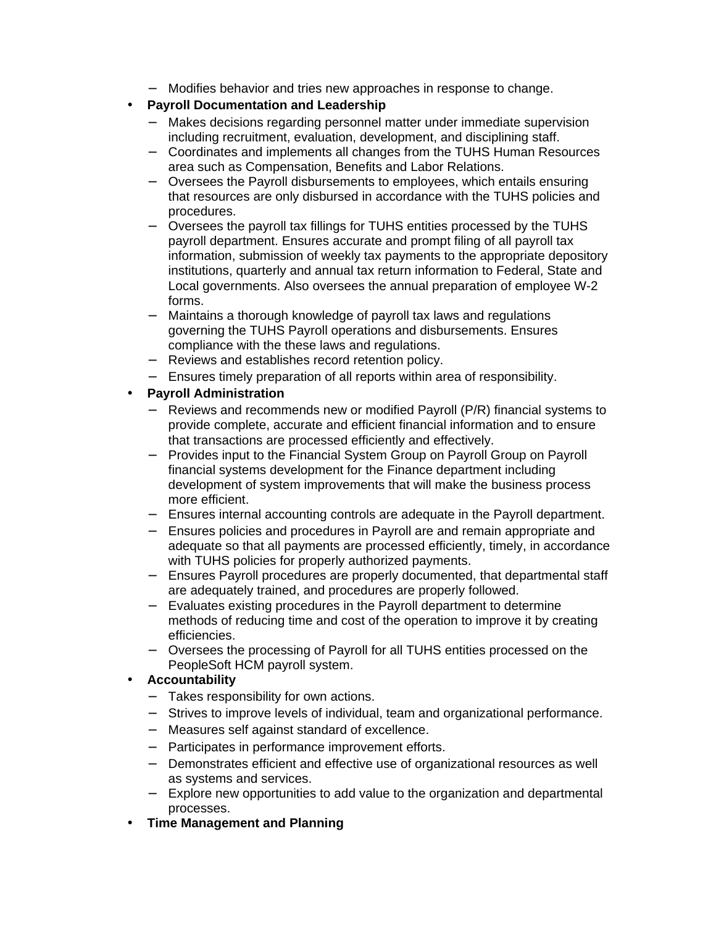- − Modifies behavior and tries new approaches in response to change.
- **Payroll Documentation and Leadership**
	- − Makes decisions regarding personnel matter under immediate supervision including recruitment, evaluation, development, and disciplining staff.
	- − Coordinates and implements all changes from the TUHS Human Resources area such as Compensation, Benefits and Labor Relations.
	- − Oversees the Payroll disbursements to employees, which entails ensuring that resources are only disbursed in accordance with the TUHS policies and procedures.
	- − Oversees the payroll tax fillings for TUHS entities processed by the TUHS payroll department. Ensures accurate and prompt filing of all payroll tax information, submission of weekly tax payments to the appropriate depository institutions, quarterly and annual tax return information to Federal, State and Local governments. Also oversees the annual preparation of employee W-2 forms.
	- − Maintains a thorough knowledge of payroll tax laws and regulations governing the TUHS Payroll operations and disbursements. Ensures compliance with the these laws and regulations.
	- − Reviews and establishes record retention policy.
	- − Ensures timely preparation of all reports within area of responsibility.
- **Payroll Administration**
	- − Reviews and recommends new or modified Payroll (P/R) financial systems to provide complete, accurate and efficient financial information and to ensure that transactions are processed efficiently and effectively.
	- − Provides input to the Financial System Group on Payroll Group on Payroll financial systems development for the Finance department including development of system improvements that will make the business process more efficient.
	- − Ensures internal accounting controls are adequate in the Payroll department.
	- − Ensures policies and procedures in Payroll are and remain appropriate and adequate so that all payments are processed efficiently, timely, in accordance with TUHS policies for properly authorized payments.
	- − Ensures Payroll procedures are properly documented, that departmental staff are adequately trained, and procedures are properly followed.
	- − Evaluates existing procedures in the Payroll department to determine methods of reducing time and cost of the operation to improve it by creating efficiencies.
	- − Oversees the processing of Payroll for all TUHS entities processed on the PeopleSoft HCM payroll system.
- **Accountability**
	- − Takes responsibility for own actions.
	- − Strives to improve levels of individual, team and organizational performance.
	- − Measures self against standard of excellence.
	- − Participates in performance improvement efforts.
	- − Demonstrates efficient and effective use of organizational resources as well as systems and services.
	- − Explore new opportunities to add value to the organization and departmental processes.
- **Time Management and Planning**